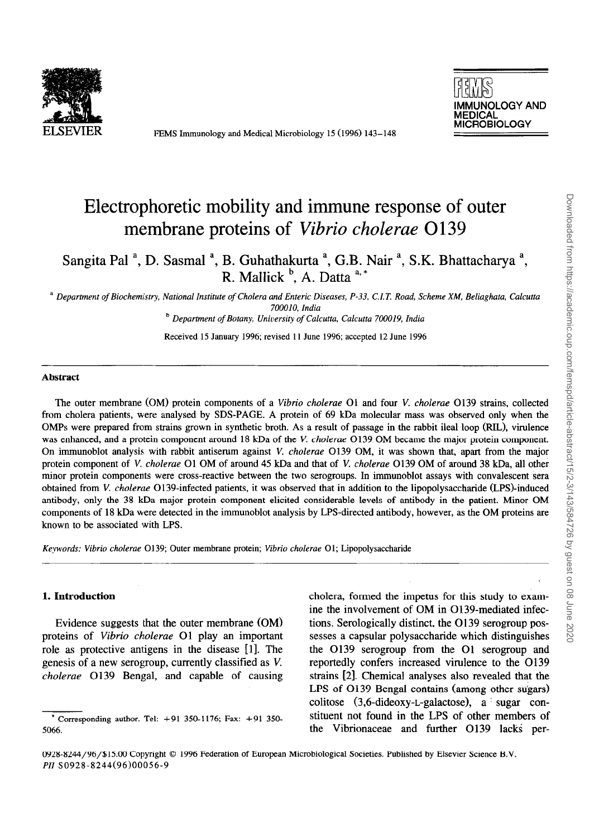

FEMS Immunology and Medical Microbiology 15 (1996) 143-148



# Electrophoretic mobility and immune response of outer membrane proteins of *Vibrio cholerae 0139*

Sangita Pal <sup>a</sup>, D. Sasmal <sup>a</sup>, B. Guhathakurta <sup>a</sup>, G.B. Nair <sup>a</sup>, S.K. Bhattacharya <sup>a</sup>, R. Mallick  $\mathcal{C}$ , A. Datta  $\mathcal{C}^*$ 

<sup>a</sup> Department of Biochemistry, National Institute of Cholera and Enteric Diseases, P-33, C.I.T. Road, Scheme XM, Beliaghata, Calcutta 700010, *India* 

*b Department of Botany, University of Calcurta. Calcutta 700019, India* 

Received 15 January 1996; revised 11 June 1996; accepted 12 June 1996

#### **Abstract**

The outer membrane (OM) protein components of a *Vibrio cholerue 01* and four V. cholerae 0139 strains, collected from cholera patients, were analysed by SDS-PAGE. A protein of 69 kDa molecular mass was observed only when the OMPs were prepared from strains grown in synthetic broth. As a result of passage in the rabbit ileal loop (RIL), virulence was enhanced, and a protein component around 18 kDa of the V. *cholerue* 0139 OM became the major protein component. On immunoblot analysis, with rabbit antiserum against V. *cholerae* 0139 OM, it was shown that, apart from the major protein component of *V. cholerue* 01 OM of around 45 kDa and that of V. *cholerae* 0139 OM of around 38 kDa, all other minor protein components were cross-reactive between the two serogroups. In immunoblot assays with convalescent sera obtained from V. *cholerae* 0139-infected patients, it was observed that in addition to the lipopolysaccharide (LPS)-induced antibody, only the 38 kDa major protein component elicited considerable levels of antibody in the patient. Minor OM components of 18 kDa were detected in the immunoblot analysis by LPS-directed antibody, however, as the OM proteins are known to be associated with LPS.

*Ke\_ywords: Vibrio cholerae* 0139; Outer membrane protein; *Vibrio cholerae* 01; Lipopolysaccharide

#### **1. Introduction**

Evidence suggests that the outer membrane (OM) proteins of *Vibrio cholerue* 01 play an important role as protective antigens in the disease [ll. The genesis of a new serogroup, currently classified as V. *cholerue* 0139 Bengal, and capable of causing cholera, formed the impetus for this study to examine the involvement of OM in 0139-mediated infections. Serologically distinct, the 0139 serogroup possesses a capsular polysaccharide which distinguishes the 0139 serogroup from the 01 serogroup and reportedly confers increased virulence to the 0139 strains [2]. Chemical analyses also revealed that the  $LPS$  of  $O139$  Bengal contains (among other sugars) colitose (3,6-dideoxy-L-galactose), a ' sugar constituent not found in the LPS of other members of the Vibrionaceae and further O139 lacks per-

Corresponding author. Tel: +91 350-1176; Fax: +91 350-5066.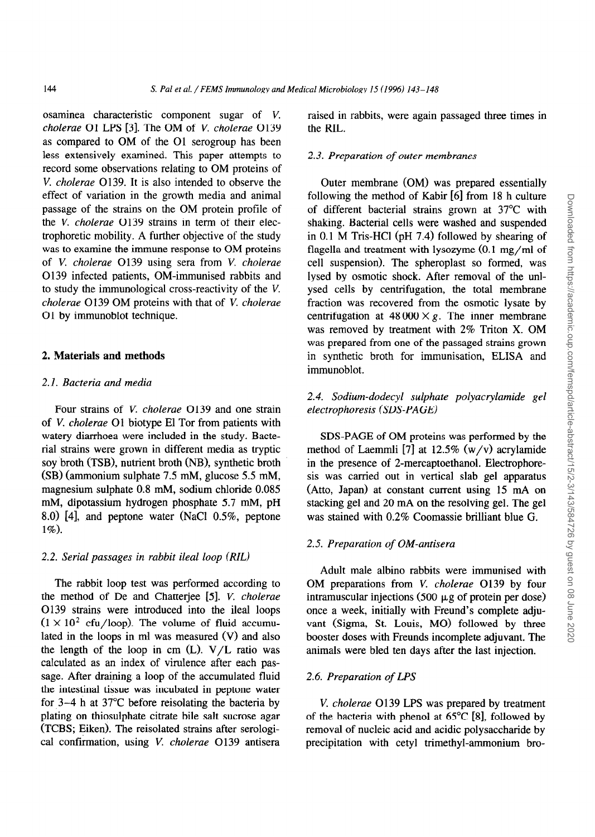osaminea characteristic component sugar of V. cholerae O1 LPS [3]. The OM of V, *cholerae* O139 as compared to OM of the 01 serogroup has been less extensively examined. This paper attempts to record some observations relating to OM proteins of V. *cholerue 0139.* It is also intended to observe the effect of variation in the growth media and animal passage of the strains on the OM protein profile of the V. *cholerae* O139 strains in term of their electrophoretic mobility. A further objective of the study was to examine the immune response to OM proteins of V. *cholerae 0139* using sera from *V. cholerae 0139* infected patients, OM-immunised rabbits and to study the immunological cross-reactivity of the V. *cholerue* 0139 OM proteins with that of V. *cholerue*  01 by immunoblot technique.

# 2. **Materials and methods**

#### **2.1.** *Bacteria and media*

Four strains of V. *cholerae* 0139 and one strain of V. *cholerue* 01 biotype El Tor from patients with watery diarrhoea were included in the study. Bacterial strains were grown in different media as tryptic soy broth (TSB), nutrient broth (NB), synthetic broth (SB) (ammonium sulphate 7.5 mM, glucose 5.5 mM, magnesium sulphate 0.8 mM, sodium chloride 0.085 mM, dipotassium hydrogen phosphate 5.7 mM, pH 8.0) [4], and peptone water (NaCl 0.5%, peptone 1%).

#### 2.2. *Serial passages in rabbit ileal loop (RIL)*

*The* rabbit loop test was performed according to the method of De and Chatterjee [5]. V. *cholerae* 0139 strains were introduced into the ileal loops  $(1 \times 10^2 \text{ cfu/loop})$ . The volume of fluid accumulated in the loops in ml was measured (V) and also the length of the loop in cm  $(L)$ . V/L ratio was calculated as an index of virulence after each passage. After draining a loop of the accumulated fluid the intestinal tissue was incubated in peptone water for 3-4 h at 37°C before reisolating the bacteria by plating on thiosulphate citrate bile salt sucrose agar (TCBS; Eiken). The reisolated strains after serological confirmation, using V. *cholerue* 0139 antisera

raised in rabbits, were again passaged three times in the RIL.

## 2.3. *Preparation of outer membranes*

Outer membrane (OM) was prepared essentially following the method of Kabir [6] from 18 h culture of different bacterial strains grown at 37°C with shaking. Bacterial cells were washed and suspended in 0.1 M Tris-HCl (pH 7.4) followed by shearing of flagella and treatment with lysozyme (0.1 mg/ml of cell suspension). The spheroplast so formed, was lysed by osmotic shock. After removal of the unlysed cells by centrifugation, the total membrane fraction was recovered from the osmotic lysate by centrifugation at  $48000 \times g$ . The inner membrane was removed by treatment with 2% Triton X. OM was prepared from one of the passaged strains grown in synthetic broth for immunisation, ELISA and immunoblot.

# 2.4. *Sodium-dodecyl sulphate polyacrylamide gel electrophoresis (SDS-PAGE)*

SDS-PAGE of OM proteins was performed by the method of Laemmli [7] at  $12.5\%$  (w/v) acrylamide in the presence of 2-mercaptoethanol. Electrophoresis was carried out in vertical slab gel apparatus (Atto, Japan) at constant current using 15 mA on stacking gel and 20 mA on the resolving gel. The gel was stained with 0.2% Coomassie brilliant blue G.

# 2.5. *Preparation of OM-antisera*

Adult male albino rabbits were immunised with OM preparations from V. *cholerae 0139* by four intramuscular injections (500  $\mu$ g of protein per dose) once a week, initially with Freund's complete adjuvant (Sigma, St. Louis, MO) followed by three booster doses with Freunds incomplete adjuvant. The animals were bled ten days after the last injection.

## 2.6. *Preparation of LPS*

*V. cholerue 0139* LPS was prepared by treatment of the bacteria with phenol at  $65^{\circ}$ C [8], followed by removal of nucleic acid and acidic polysaccharide by precipitation with cetyl trimethyl-ammonium bro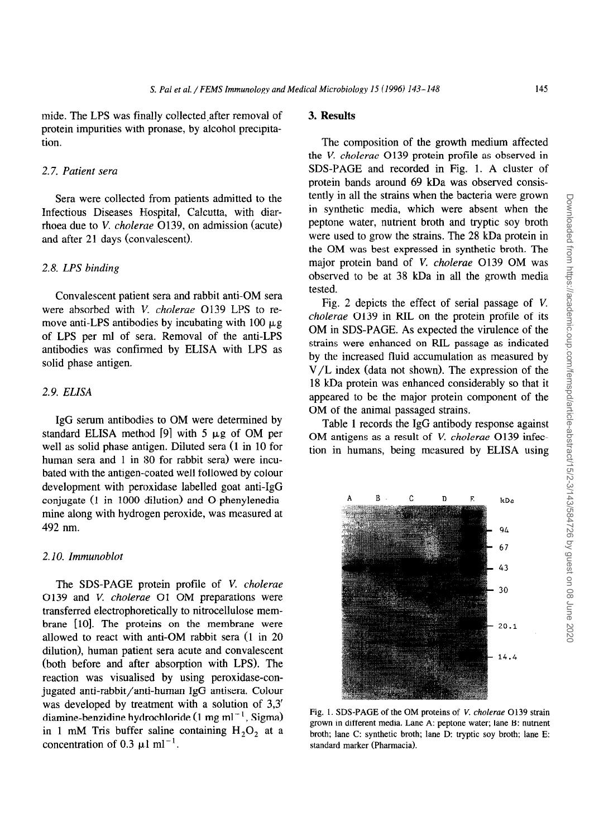mide. The LPS was finally collected after removal of protein impurities with pronase, by alcohol precipitation.

#### 2.7. *Patient sera*

Sera were collected from patients admitted to the Infectious Diseases Hospital, Calcutta, with diarrhoea due to V. *cholerae* 0139, on admission (acute) and after 21 days (convalescent).

# 2.8. *LPS binding*

Convalescent patient sera and rabbit anti-OM sera were absorbed with V. *cholerae* O139 LPS to remove anti-LPS antibodies by incubating with 100  $\mu$ g of LPS per ml of sera. Removal of the anti-LPS antibodies was confinned by ELISA with LPS as solid phase antigen.

# 2.9. *ELISA*

IgG serum antibodies to OM were determined by standard ELISA method  $[9]$  with 5  $\mu$ g of OM per well as solid phase antigen. Diluted sera (1 in 10 for human sera and 1 in 30 for rabbit sera) were incubated with the antigen-coated well followed by colour development with peroxidase labelled goat anti-IgG conjugate (1 in 1000 dilution) and O-phenylenediamine along with hydrogen peroxide, was measured at 492 nm.

# 2. IO. *Immunoblot*

The SDS-PAGE protein profile of V. *cholerae*  0139 and V. *cholerae* 01 OM preparations were transferred electrophoretically to nitrocellulose membrane [10]. The proteins on the membrane were allowed to react with anti-OM rabbit sera (1 in 20 dilution), human patient sera acute and convalescent (both before and after absorption with LPS). The reaction was visualised by using peroxidase-conjugated anti-rabbit/anti-human IgG antisera. Colour was developed by treatment with a solution of 3,3' diamine-benzidine hydrochloride (1 mg ml<sup>-1</sup>, Sigma) in 1 mM Tris buffer saline containing  $H_2O_2$  at a concentration of 0.3  $\mu$ 1 ml<sup>-1</sup>.

# 3. **Results**

The composition of the growth medium affected the *V. cholerae* 0139 protein profile as observed in SDS-PAGE and recorded in Fig. 1. A cluster of protein bands around 69 kDa was observed consistently in all the strains when the bacteria were grown in synthetic media, which were absent when the peptone water, nutrient broth and tryptic soy broth were used to grow the strains. The 28 kDa protein in the OM was best expressed in synthetic broth. The major protein band of V. *cholerae* 0139 OM was observed to be at 38 kDa in all the growth media tested.

Fig. 2 depicts the effect of serial passage of V. *cholerae* 0139 in RIL on the protein profile of its OM in SDS-PAGE. As expected the virulence of the strains were enhanced on RIL passage as indicated by the increased fluid accumulation as measured by V/L index (data not shown). The expression of the 18 kDa protein was enhanced considerably so that it appeared to be the major protein component of the OM of the animal passaged strains.

Table 1 records the IgG antibody response against OM antigens as a result of V. *cholerae 0139* infection in humans, being measured by ELISA using



Fig. 1. SDS-PAGE of the OM proteins of V. *cholerae 0139* strain grown in different media. Lane A: peptone water; lane B: nutrient broth; lane C: synthetic broth; lane D: tryptic soy broth; lane E: standard marker (Pharmacia).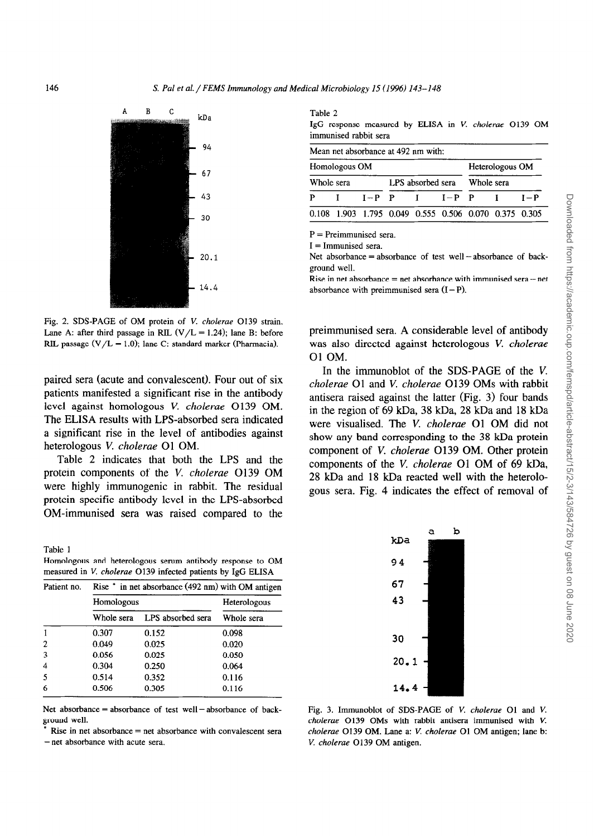

Fig. *2.* SDS-PAGE of OM protein of V. *cholerae* 0139 strain. Lane A: after third passage in RIL  $(V/L = 1.24)$ ; lane B: before RIL passage  $(V/L = 1.0)$ ; lane C: standard marker (Pharmacia).

paired sera (acute and convalescent). Four out of six patients manifested a significant rise in the antibody level against homologous *V. cholerae 0139* OM. The ELBA results with LPS-absorbed sera indicated a significant rise in the level of antibodies against heterologous V. *cholerue* 01 OM.

Table 2 indicates that both the LPS and the protein components of the V. *cholerue* 0139 OM were highly immunogenic in rabbit. The residual protein specific antibody level in the LPS-absorbed OM-immunised sera was raised compared to the

Table 1 Homologous and heterologous serum antibody response to OM measured in V. *cholerae 0139* infected patients by IgG ELISA

| Patient no.  | Rise * in net absorbance (492 nm) with OM antigen |                   |            |  |  |  |  |  |
|--------------|---------------------------------------------------|-------------------|------------|--|--|--|--|--|
|              | Homologous                                        | Heterologous      |            |  |  |  |  |  |
|              | Whole sera                                        | LPS absorbed sera | Whole sera |  |  |  |  |  |
|              | 0.307                                             | 0.152             | 0.098      |  |  |  |  |  |
| $\mathbf{2}$ | 0.049                                             | 0.025             | 0.020      |  |  |  |  |  |
| 3            | 0.056                                             | 0.025             | 0.050      |  |  |  |  |  |
| 4            | 0.304                                             | 0.250             | 0.064      |  |  |  |  |  |
| 5            | 0.514                                             | 0.352             | 0.116      |  |  |  |  |  |
| 6            | 0.506                                             | 0.305             | 0.116      |  |  |  |  |  |

Net absorbance  $=$  absorbance of test well  $-$  absorbance of background well.

 $Rise$  in net absorbance  $=$  net absorbance with convalescent sera - net absorbance with acute sera.

Table 2

IgG response measured by ELISA in V. *cholerue 0139* OM immunised rabbit sera

|               | Mean net absorbance at 492 nm with:                   |                   |  |                         |            |                 |  |       |  |
|---------------|-------------------------------------------------------|-------------------|--|-------------------------|------------|-----------------|--|-------|--|
| Homologous OM |                                                       |                   |  |                         |            | Heterologous OM |  |       |  |
| Whole sera    |                                                       | LPS absorbed sera |  |                         | Whole sera |                 |  |       |  |
| P             |                                                       |                   |  | $I-P$ $P$ $I$ $I-P$ $P$ |            |                 |  | $I-P$ |  |
|               | 0.108 1.903 1.795 0.049 0.555 0.506 0.070 0.375 0.305 |                   |  |                         |            |                 |  |       |  |

 $P =$  Preimmunised sera.

 $I =$  Immunised sera.

Net absorbance = absorbance of test well  $-$  absorbance of background well.

Rise in net absorbance  $=$  net absorbance with immunised sera $-$  net absorbance with preimmunised sera  $(I-P)$ .

preimmunised sera. A considerable level of antibody was also directed against heterologous V. *cholerue 01* OM.

In the immunoblot of the SDS-PAGE of the V. *cholerue* 01 and V. *cholerue* 0139 OMs with rabbit antisera raised against the latter (Fig. 3) four bands in the region of 69 kDa, 38 kDa, 28 kDa and 18 kDa were visualised. The V. *cholerue* 01 OM did not show any band corresponding to the 38 kDa protein component of V. cholerae O139 OM. Other protein components of the V. *cholerue* 01 OM of 69 kDa, 28 kDa and 18 kDa reacted well with the heterologous sera. Fig. 4 indicates the effect of removal of



Fig. 3. Immunoblot of SDS-PAGE of V. *cholerae* 01 and V. *cholerae 0139* OMs with rabbit antisera immunised with V. *cholerae* 0139 OM. Lane a: V. *cholerue* 01 OM antigen; lane b: V. *cholerae 0139* OM antigen.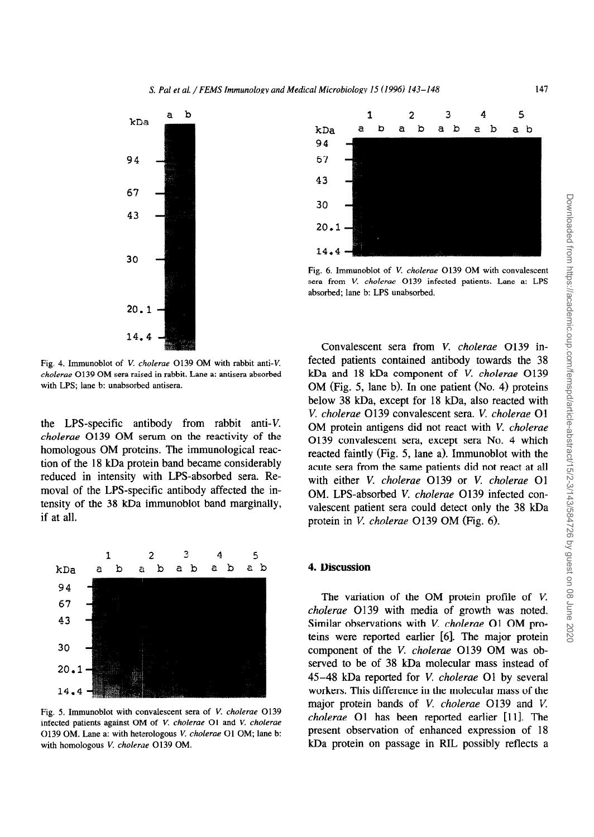

Fig. 4. Immunoblot of V. cholerae 0139 OM with rabbit anti-V. *cholerae 0139* OM sera raised in rabbit. Lane a: antisera absorbed with LPS; lane b: unabsorbed antisera.

the LPS-specific antibody from rabbit anti-V. cholerae O139 OM serum on the reactivity of the homologous OM proteins. The immunological reaction of the 18 kDa protein band became considerably reduced in intensity with LPS-absorbed sera. Removal of the LPS-specific antibody affected the intensity of the 38 kDa immunoblot band marginally, if at all.



*Fig. 5.* Immunoblot with convalescent sera of V. *cholerae 0139*  infected patients against OM of V. cholerae 01 and V. *cholerae 0139* OM. Lane a: with heterologous V. *cholerae* 01 OM; lane b: with homologous V. *choleroe 0139* OM.



Fig. 6. Immunoblot of V. *cholerae 0139* OM with convalescent sera from V. *cholerae 0139* infected patients. Lane a: LPS absorbed; lane b: LPS unabsorbed.

Convalescent sera from V. *cholerae* O139 infected patients contained antibody towards the 38 kDa and 18 kDa component of V. *cholerue* 0139 OM (Fig. 5, lane b). In one patient (No. 4) proteins below 38 kDa, except for 18 kDa, also reacted with *V. cholerue* 0139 convalescent sera. V. *cholerue* 01 OM protein antigens did not react with *V. cholerue 0139* convalescent sera, except sera No. 4 which reacted faintly (Fig. 5, lane a). Immunoblot with the acute sera from the same patients did not react at all with either V. *cholerae* 0139 or V. *cholerue* 01 OM. LPS-absorbed V. *cholerue 0139* infected convalescent patient sera could detect only the 38 kDa protein in V. *cholerae* 0139 OM (Fig. 6).

#### *4.* **Discussion**

The variation of the OM protein profile of V. *cholerae 0139* with media of growth was noted. Similar observations with V. *cholerae* O1 OM proteins were reported earlier [6]. The major protein component of the V. *cholerue* 0139 OM was observed to be of **38** kDa molecular mass instead of 45-48 kDa reported for V. *cholerue* 01 by several workers. This difference in the molecular mass of the major protein bands of V. *cholerae* O139 and V. *cholerae* O1 has been reported earlier [11]. The present observation of enhanced expression of 18 kDa protein on passage in RIL possibly reflects a